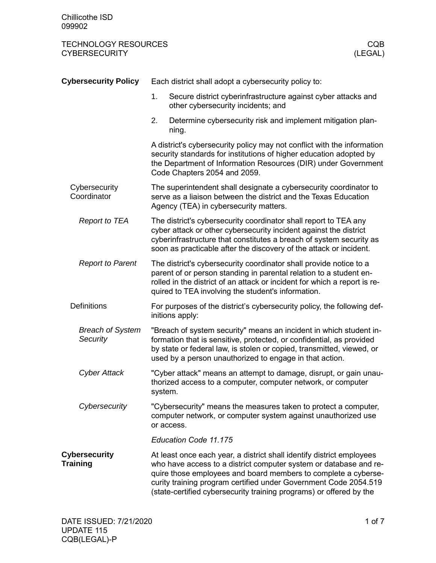| <b>Cybersecurity Policy</b>             |         | Each district shall adopt a cybersecurity policy to:                                                                                                                                                                                                                                                                                                    |
|-----------------------------------------|---------|---------------------------------------------------------------------------------------------------------------------------------------------------------------------------------------------------------------------------------------------------------------------------------------------------------------------------------------------------------|
|                                         | 1.      | Secure district cyberinfrastructure against cyber attacks and<br>other cybersecurity incidents; and                                                                                                                                                                                                                                                     |
|                                         | 2.      | Determine cybersecurity risk and implement mitigation plan-<br>ning.                                                                                                                                                                                                                                                                                    |
|                                         |         | A district's cybersecurity policy may not conflict with the information<br>security standards for institutions of higher education adopted by<br>the Department of Information Resources (DIR) under Government<br>Code Chapters 2054 and 2059.                                                                                                         |
| Cybersecurity<br>Coordinator            |         | The superintendent shall designate a cybersecurity coordinator to<br>serve as a liaison between the district and the Texas Education<br>Agency (TEA) in cybersecurity matters.                                                                                                                                                                          |
| <b>Report to TEA</b>                    |         | The district's cybersecurity coordinator shall report to TEA any<br>cyber attack or other cybersecurity incident against the district<br>cyberinfrastructure that constitutes a breach of system security as<br>soon as practicable after the discovery of the attack or incident.                                                                      |
| <b>Report to Parent</b>                 |         | The district's cybersecurity coordinator shall provide notice to a<br>parent of or person standing in parental relation to a student en-<br>rolled in the district of an attack or incident for which a report is re-<br>quired to TEA involving the student's information.                                                                             |
| <b>Definitions</b>                      |         | For purposes of the district's cybersecurity policy, the following def-<br>initions apply:                                                                                                                                                                                                                                                              |
| <b>Breach of System</b><br>Security     |         | "Breach of system security" means an incident in which student in-<br>formation that is sensitive, protected, or confidential, as provided<br>by state or federal law, is stolen or copied, transmitted, viewed, or<br>used by a person unauthorized to engage in that action.                                                                          |
| <b>Cyber Attack</b>                     | system. | "Cyber attack" means an attempt to damage, disrupt, or gain unau-<br>thorized access to a computer, computer network, or computer                                                                                                                                                                                                                       |
| Cybersecurity                           |         | "Cybersecurity" means the measures taken to protect a computer,<br>computer network, or computer system against unauthorized use<br>or access.                                                                                                                                                                                                          |
|                                         |         | Education Code 11.175                                                                                                                                                                                                                                                                                                                                   |
| <b>Cybersecurity</b><br><b>Training</b> |         | At least once each year, a district shall identify district employees<br>who have access to a district computer system or database and re-<br>quire those employees and board members to complete a cyberse-<br>curity training program certified under Government Code 2054.519<br>(state-certified cybersecurity training programs) or offered by the |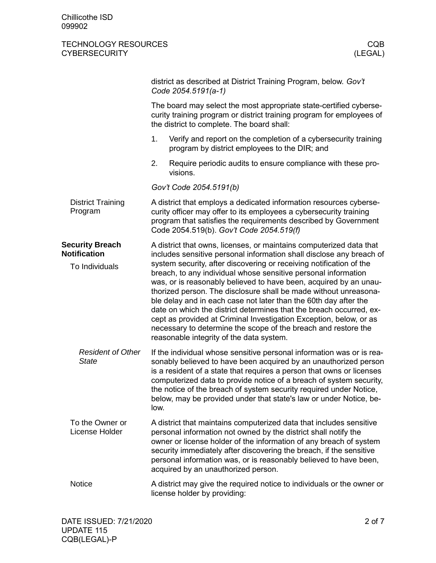|                                                                 | district as described at District Training Program, below. Gov't<br>Code 2054.5191(a-1)                                                                                                                                                                                                                                                                                                                                                                                                                                                                                                                                                                                                                                                                      |                                                                                                                                                                                                                                                                                                                                                                                                                                       |  |  |
|-----------------------------------------------------------------|--------------------------------------------------------------------------------------------------------------------------------------------------------------------------------------------------------------------------------------------------------------------------------------------------------------------------------------------------------------------------------------------------------------------------------------------------------------------------------------------------------------------------------------------------------------------------------------------------------------------------------------------------------------------------------------------------------------------------------------------------------------|---------------------------------------------------------------------------------------------------------------------------------------------------------------------------------------------------------------------------------------------------------------------------------------------------------------------------------------------------------------------------------------------------------------------------------------|--|--|
|                                                                 |                                                                                                                                                                                                                                                                                                                                                                                                                                                                                                                                                                                                                                                                                                                                                              | The board may select the most appropriate state-certified cyberse-<br>curity training program or district training program for employees of<br>the district to complete. The board shall:                                                                                                                                                                                                                                             |  |  |
|                                                                 | 1.                                                                                                                                                                                                                                                                                                                                                                                                                                                                                                                                                                                                                                                                                                                                                           | Verify and report on the completion of a cybersecurity training<br>program by district employees to the DIR; and                                                                                                                                                                                                                                                                                                                      |  |  |
|                                                                 | 2.                                                                                                                                                                                                                                                                                                                                                                                                                                                                                                                                                                                                                                                                                                                                                           | Require periodic audits to ensure compliance with these pro-<br>visions.                                                                                                                                                                                                                                                                                                                                                              |  |  |
|                                                                 |                                                                                                                                                                                                                                                                                                                                                                                                                                                                                                                                                                                                                                                                                                                                                              | Gov't Code 2054.5191(b)                                                                                                                                                                                                                                                                                                                                                                                                               |  |  |
| <b>District Training</b><br>Program                             |                                                                                                                                                                                                                                                                                                                                                                                                                                                                                                                                                                                                                                                                                                                                                              | A district that employs a dedicated information resources cyberse-<br>curity officer may offer to its employees a cybersecurity training<br>program that satisfies the requirements described by Government<br>Code 2054.519(b). Gov't Code 2054.519(f)                                                                                                                                                                               |  |  |
| <b>Security Breach</b><br><b>Notification</b><br>To Individuals | A district that owns, licenses, or maintains computerized data that<br>includes sensitive personal information shall disclose any breach of<br>system security, after discovering or receiving notification of the<br>breach, to any individual whose sensitive personal information<br>was, or is reasonably believed to have been, acquired by an unau-<br>thorized person. The disclosure shall be made without unreasona-<br>ble delay and in each case not later than the 60th day after the<br>date on which the district determines that the breach occurred, ex-<br>cept as provided at Criminal Investigation Exception, below, or as<br>necessary to determine the scope of the breach and restore the<br>reasonable integrity of the data system. |                                                                                                                                                                                                                                                                                                                                                                                                                                       |  |  |
| <b>Resident of Other</b><br><b>State</b>                        | low.                                                                                                                                                                                                                                                                                                                                                                                                                                                                                                                                                                                                                                                                                                                                                         | If the individual whose sensitive personal information was or is rea-<br>sonably believed to have been acquired by an unauthorized person<br>is a resident of a state that requires a person that owns or licenses<br>computerized data to provide notice of a breach of system security,<br>the notice of the breach of system security required under Notice,<br>below, may be provided under that state's law or under Notice, be- |  |  |
| To the Owner or<br>License Holder                               |                                                                                                                                                                                                                                                                                                                                                                                                                                                                                                                                                                                                                                                                                                                                                              | A district that maintains computerized data that includes sensitive<br>personal information not owned by the district shall notify the<br>owner or license holder of the information of any breach of system<br>security immediately after discovering the breach, if the sensitive<br>personal information was, or is reasonably believed to have been,<br>acquired by an unauthorized person.                                       |  |  |
| <b>Notice</b>                                                   |                                                                                                                                                                                                                                                                                                                                                                                                                                                                                                                                                                                                                                                                                                                                                              | A district may give the required notice to individuals or the owner or<br>license holder by providing:                                                                                                                                                                                                                                                                                                                                |  |  |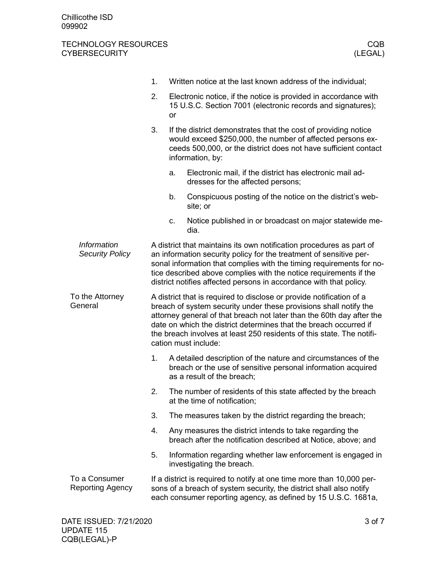|                                              | 1.                                                                                                                                                                                                                                                                                                                                                                                       |                                                                                                                                      | Written notice at the last known address of the individual;                                                                                                                                                                                                                                                                                                   |  |  |
|----------------------------------------------|------------------------------------------------------------------------------------------------------------------------------------------------------------------------------------------------------------------------------------------------------------------------------------------------------------------------------------------------------------------------------------------|--------------------------------------------------------------------------------------------------------------------------------------|---------------------------------------------------------------------------------------------------------------------------------------------------------------------------------------------------------------------------------------------------------------------------------------------------------------------------------------------------------------|--|--|
|                                              | 2.                                                                                                                                                                                                                                                                                                                                                                                       | Electronic notice, if the notice is provided in accordance with<br>15 U.S.C. Section 7001 (electronic records and signatures);<br>or |                                                                                                                                                                                                                                                                                                                                                               |  |  |
|                                              | 3.                                                                                                                                                                                                                                                                                                                                                                                       |                                                                                                                                      | If the district demonstrates that the cost of providing notice<br>would exceed \$250,000, the number of affected persons ex-<br>ceeds 500,000, or the district does not have sufficient contact<br>information, by:                                                                                                                                           |  |  |
|                                              |                                                                                                                                                                                                                                                                                                                                                                                          | a.                                                                                                                                   | Electronic mail, if the district has electronic mail ad-<br>dresses for the affected persons;                                                                                                                                                                                                                                                                 |  |  |
|                                              |                                                                                                                                                                                                                                                                                                                                                                                          | b.                                                                                                                                   | Conspicuous posting of the notice on the district's web-<br>site; or                                                                                                                                                                                                                                                                                          |  |  |
|                                              |                                                                                                                                                                                                                                                                                                                                                                                          | c.                                                                                                                                   | Notice published in or broadcast on major statewide me-<br>dia.                                                                                                                                                                                                                                                                                               |  |  |
| <b>Information</b><br><b>Security Policy</b> |                                                                                                                                                                                                                                                                                                                                                                                          |                                                                                                                                      | A district that maintains its own notification procedures as part of<br>an information security policy for the treatment of sensitive per-<br>sonal information that complies with the timing requirements for no-<br>tice described above complies with the notice requirements if the<br>district notifies affected persons in accordance with that policy. |  |  |
| To the Attorney<br>General                   | A district that is required to disclose or provide notification of a<br>breach of system security under these provisions shall notify the<br>attorney general of that breach not later than the 60th day after the<br>date on which the district determines that the breach occurred if<br>the breach involves at least 250 residents of this state. The notifi-<br>cation must include: |                                                                                                                                      |                                                                                                                                                                                                                                                                                                                                                               |  |  |
|                                              | 1.                                                                                                                                                                                                                                                                                                                                                                                       |                                                                                                                                      | A detailed description of the nature and circumstances of the<br>breach or the use of sensitive personal information acquired<br>as a result of the breach;                                                                                                                                                                                                   |  |  |
|                                              | 2.                                                                                                                                                                                                                                                                                                                                                                                       |                                                                                                                                      | The number of residents of this state affected by the breach<br>at the time of notification;                                                                                                                                                                                                                                                                  |  |  |
|                                              | 3.                                                                                                                                                                                                                                                                                                                                                                                       |                                                                                                                                      | The measures taken by the district regarding the breach;                                                                                                                                                                                                                                                                                                      |  |  |
|                                              | 4.                                                                                                                                                                                                                                                                                                                                                                                       |                                                                                                                                      | Any measures the district intends to take regarding the<br>breach after the notification described at Notice, above; and                                                                                                                                                                                                                                      |  |  |
|                                              | 5.                                                                                                                                                                                                                                                                                                                                                                                       |                                                                                                                                      | Information regarding whether law enforcement is engaged in<br>investigating the breach.                                                                                                                                                                                                                                                                      |  |  |
| To a Consumer<br><b>Reporting Agency</b>     |                                                                                                                                                                                                                                                                                                                                                                                          |                                                                                                                                      | If a district is required to notify at one time more than 10,000 per-<br>sons of a breach of system security, the district shall also notify<br>each consumer reporting agency, as defined by 15 U.S.C. 1681a,                                                                                                                                                |  |  |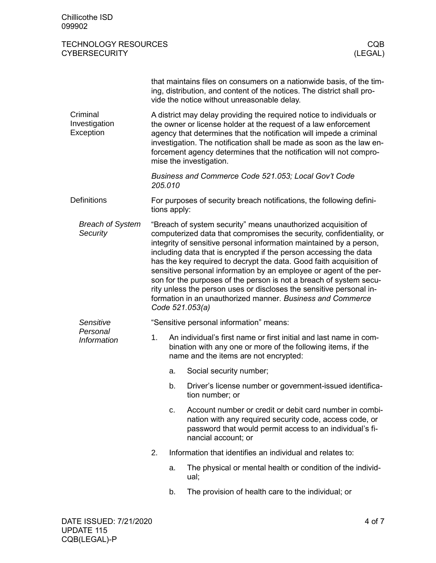|                                        |         |                | that maintains files on consumers on a nationwide basis, of the tim-<br>ing, distribution, and content of the notices. The district shall pro-<br>vide the notice without unreasonable delay.                                                                                                                                                                                                                                                                                                                                                                                                                                                                |
|----------------------------------------|---------|----------------|--------------------------------------------------------------------------------------------------------------------------------------------------------------------------------------------------------------------------------------------------------------------------------------------------------------------------------------------------------------------------------------------------------------------------------------------------------------------------------------------------------------------------------------------------------------------------------------------------------------------------------------------------------------|
| Criminal<br>Investigation<br>Exception |         |                | A district may delay providing the required notice to individuals or<br>the owner or license holder at the request of a law enforcement<br>agency that determines that the notification will impede a criminal<br>investigation. The notification shall be made as soon as the law en-<br>forcement agency determines that the notification will not compro-<br>mise the investigation.                                                                                                                                                                                                                                                                      |
|                                        | 205.010 |                | Business and Commerce Code 521.053; Local Gov't Code                                                                                                                                                                                                                                                                                                                                                                                                                                                                                                                                                                                                         |
| <b>Definitions</b>                     |         | tions apply:   | For purposes of security breach notifications, the following defini-                                                                                                                                                                                                                                                                                                                                                                                                                                                                                                                                                                                         |
| <b>Breach of System</b><br>Security    |         |                | "Breach of system security" means unauthorized acquisition of<br>computerized data that compromises the security, confidentiality, or<br>integrity of sensitive personal information maintained by a person,<br>including data that is encrypted if the person accessing the data<br>has the key required to decrypt the data. Good faith acquisition of<br>sensitive personal information by an employee or agent of the per-<br>son for the purposes of the person is not a breach of system secu-<br>rity unless the person uses or discloses the sensitive personal in-<br>formation in an unauthorized manner. Business and Commerce<br>Code 521.053(a) |
| Sensitive                              |         |                | "Sensitive personal information" means:                                                                                                                                                                                                                                                                                                                                                                                                                                                                                                                                                                                                                      |
| Personal<br><b>Information</b>         | 1.      |                | An individual's first name or first initial and last name in com-<br>bination with any one or more of the following items, if the<br>name and the items are not encrypted:                                                                                                                                                                                                                                                                                                                                                                                                                                                                                   |
|                                        |         | a.             | Social security number;                                                                                                                                                                                                                                                                                                                                                                                                                                                                                                                                                                                                                                      |
|                                        |         | b.             | Driver's license number or government-issued identifica-<br>tion number; or                                                                                                                                                                                                                                                                                                                                                                                                                                                                                                                                                                                  |
|                                        |         | C <sub>1</sub> | Account number or credit or debit card number in combi-<br>nation with any required security code, access code, or<br>password that would permit access to an individual's fi-<br>nancial account; or                                                                                                                                                                                                                                                                                                                                                                                                                                                        |
|                                        | 2.      |                | Information that identifies an individual and relates to:                                                                                                                                                                                                                                                                                                                                                                                                                                                                                                                                                                                                    |
|                                        |         | a.             | The physical or mental health or condition of the individ-<br>ual;                                                                                                                                                                                                                                                                                                                                                                                                                                                                                                                                                                                           |
|                                        |         | b.             | The provision of health care to the individual; or                                                                                                                                                                                                                                                                                                                                                                                                                                                                                                                                                                                                           |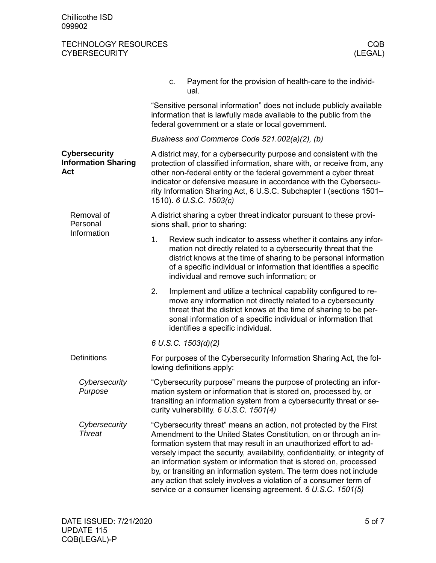|                                                           | Payment for the provision of health-care to the individ-<br>c.<br>ual.                                                                                                                                                                                                                                                                                                                                                                                                                                                                                                     |  |  |  |  |
|-----------------------------------------------------------|----------------------------------------------------------------------------------------------------------------------------------------------------------------------------------------------------------------------------------------------------------------------------------------------------------------------------------------------------------------------------------------------------------------------------------------------------------------------------------------------------------------------------------------------------------------------------|--|--|--|--|
|                                                           | "Sensitive personal information" does not include publicly available<br>information that is lawfully made available to the public from the<br>federal government or a state or local government.                                                                                                                                                                                                                                                                                                                                                                           |  |  |  |  |
|                                                           | Business and Commerce Code 521.002(a)(2), (b)                                                                                                                                                                                                                                                                                                                                                                                                                                                                                                                              |  |  |  |  |
| <b>Cybersecurity</b><br><b>Information Sharing</b><br>Act | A district may, for a cybersecurity purpose and consistent with the<br>protection of classified information, share with, or receive from, any<br>other non-federal entity or the federal government a cyber threat<br>indicator or defensive measure in accordance with the Cybersecu-<br>rity Information Sharing Act, 6 U.S.C. Subchapter I (sections 1501-<br>1510). 6 U.S.C. 1503(c)                                                                                                                                                                                   |  |  |  |  |
| Removal of<br>Personal<br>Information                     | A district sharing a cyber threat indicator pursuant to these provi-<br>sions shall, prior to sharing:                                                                                                                                                                                                                                                                                                                                                                                                                                                                     |  |  |  |  |
|                                                           | 1.<br>Review such indicator to assess whether it contains any infor-<br>mation not directly related to a cybersecurity threat that the<br>district knows at the time of sharing to be personal information<br>of a specific individual or information that identifies a specific<br>individual and remove such information; or                                                                                                                                                                                                                                             |  |  |  |  |
|                                                           | 2.<br>Implement and utilize a technical capability configured to re-<br>move any information not directly related to a cybersecurity<br>threat that the district knows at the time of sharing to be per-<br>sonal information of a specific individual or information that<br>identifies a specific individual.                                                                                                                                                                                                                                                            |  |  |  |  |
|                                                           | 6 U.S.C. 1503(d)(2)                                                                                                                                                                                                                                                                                                                                                                                                                                                                                                                                                        |  |  |  |  |
| <b>Definitions</b>                                        | For purposes of the Cybersecurity Information Sharing Act, the fol-<br>lowing definitions apply:                                                                                                                                                                                                                                                                                                                                                                                                                                                                           |  |  |  |  |
| Cybersecurity<br>Purpose                                  | "Cybersecurity purpose" means the purpose of protecting an infor-<br>mation system or information that is stored on, processed by, or<br>transiting an information system from a cybersecurity threat or se-<br>curity vulnerability. 6 U.S.C. 1501(4)                                                                                                                                                                                                                                                                                                                     |  |  |  |  |
| Cybersecurity<br><b>Threat</b>                            | "Cybersecurity threat" means an action, not protected by the First<br>Amendment to the United States Constitution, on or through an in-<br>formation system that may result in an unauthorized effort to ad-<br>versely impact the security, availability, confidentiality, or integrity of<br>an information system or information that is stored on, processed<br>by, or transiting an information system. The term does not include<br>any action that solely involves a violation of a consumer term of<br>service or a consumer licensing agreement. 6 U.S.C. 1501(5) |  |  |  |  |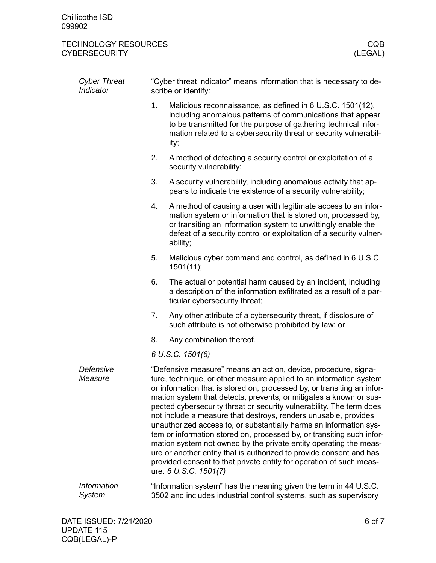| <b>Cyber Threat</b><br>Indicator    |                                                                                                                                       | "Cyber threat indicator" means information that is necessary to de-<br>scribe or identify:                                                                                                                                                                                                                                                                                                                                                                                                                                                                                                                                                                                                                                                                                                                                  |  |  |
|-------------------------------------|---------------------------------------------------------------------------------------------------------------------------------------|-----------------------------------------------------------------------------------------------------------------------------------------------------------------------------------------------------------------------------------------------------------------------------------------------------------------------------------------------------------------------------------------------------------------------------------------------------------------------------------------------------------------------------------------------------------------------------------------------------------------------------------------------------------------------------------------------------------------------------------------------------------------------------------------------------------------------------|--|--|
|                                     | 1.                                                                                                                                    | Malicious reconnaissance, as defined in 6 U.S.C. 1501(12),<br>including anomalous patterns of communications that appear<br>to be transmitted for the purpose of gathering technical infor-<br>mation related to a cybersecurity threat or security vulnerabil-<br>ity;                                                                                                                                                                                                                                                                                                                                                                                                                                                                                                                                                     |  |  |
|                                     | 2.                                                                                                                                    | A method of defeating a security control or exploitation of a<br>security vulnerability;                                                                                                                                                                                                                                                                                                                                                                                                                                                                                                                                                                                                                                                                                                                                    |  |  |
|                                     | 3.                                                                                                                                    | A security vulnerability, including anomalous activity that ap-<br>pears to indicate the existence of a security vulnerability;                                                                                                                                                                                                                                                                                                                                                                                                                                                                                                                                                                                                                                                                                             |  |  |
|                                     | 4.                                                                                                                                    | A method of causing a user with legitimate access to an infor-<br>mation system or information that is stored on, processed by,<br>or transiting an information system to unwittingly enable the<br>defeat of a security control or exploitation of a security vulner-<br>ability;                                                                                                                                                                                                                                                                                                                                                                                                                                                                                                                                          |  |  |
|                                     | 5.                                                                                                                                    | Malicious cyber command and control, as defined in 6 U.S.C.<br>1501(11);                                                                                                                                                                                                                                                                                                                                                                                                                                                                                                                                                                                                                                                                                                                                                    |  |  |
|                                     | 6.                                                                                                                                    | The actual or potential harm caused by an incident, including<br>a description of the information exfiltrated as a result of a par-<br>ticular cybersecurity threat;                                                                                                                                                                                                                                                                                                                                                                                                                                                                                                                                                                                                                                                        |  |  |
|                                     | 7.                                                                                                                                    | Any other attribute of a cybersecurity threat, if disclosure of<br>such attribute is not otherwise prohibited by law; or                                                                                                                                                                                                                                                                                                                                                                                                                                                                                                                                                                                                                                                                                                    |  |  |
|                                     | 8.                                                                                                                                    | Any combination thereof.                                                                                                                                                                                                                                                                                                                                                                                                                                                                                                                                                                                                                                                                                                                                                                                                    |  |  |
|                                     |                                                                                                                                       | 6 U.S.C. 1501(6)                                                                                                                                                                                                                                                                                                                                                                                                                                                                                                                                                                                                                                                                                                                                                                                                            |  |  |
| Defensive<br>Measure                |                                                                                                                                       | "Defensive measure" means an action, device, procedure, signa-<br>ture, technique, or other measure applied to an information system<br>or information that is stored on, processed by, or transiting an infor-<br>mation system that detects, prevents, or mitigates a known or sus-<br>pected cybersecurity threat or security vulnerability. The term does<br>not include a measure that destroys, renders unusable, provides<br>unauthorized access to, or substantially harms an information sys-<br>tem or information stored on, processed by, or transiting such infor-<br>mation system not owned by the private entity operating the meas-<br>ure or another entity that is authorized to provide consent and has<br>provided consent to that private entity for operation of such meas-<br>ure. 6 U.S.C. 1501(7) |  |  |
| <b>Information</b><br><b>System</b> | "Information system" has the meaning given the term in 44 U.S.C.<br>3502 and includes industrial control systems, such as supervisory |                                                                                                                                                                                                                                                                                                                                                                                                                                                                                                                                                                                                                                                                                                                                                                                                                             |  |  |